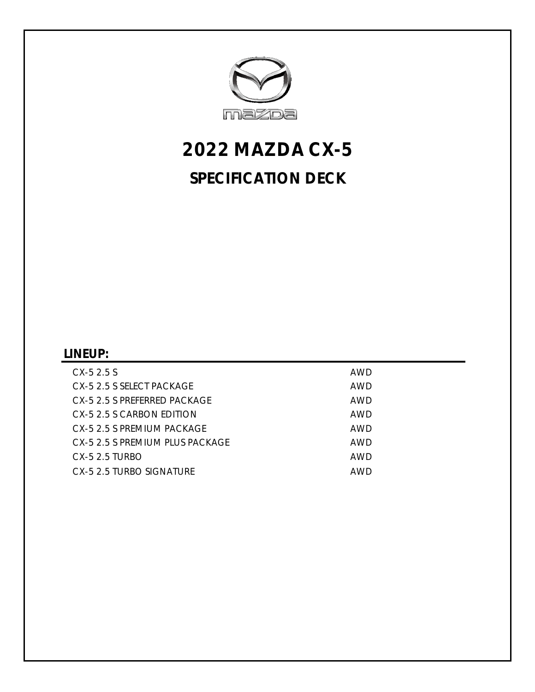

## **2022 MAZDA CX-5 SPECIFICATION DECK**

## **LINEUP:**

| $CX-52.5S$                      | AWD |
|---------------------------------|-----|
| CX-5 2.5 S SELECT PACKAGE       | AWD |
| CX-5 2.5 S PREFERRED PACKAGE    | AWD |
| CX-5 2.5 S CARBON EDITION       | AWD |
| CX-5 2.5 S PREMIUM PACKAGE      | AWD |
| CX-5 2 5 S PREMIUM PLUS PACKAGE | AWD |
| $CX-5$ 2.5 TURBO                | AWD |
| CX-5 2.5 TURBO SIGNATURE        | AWD |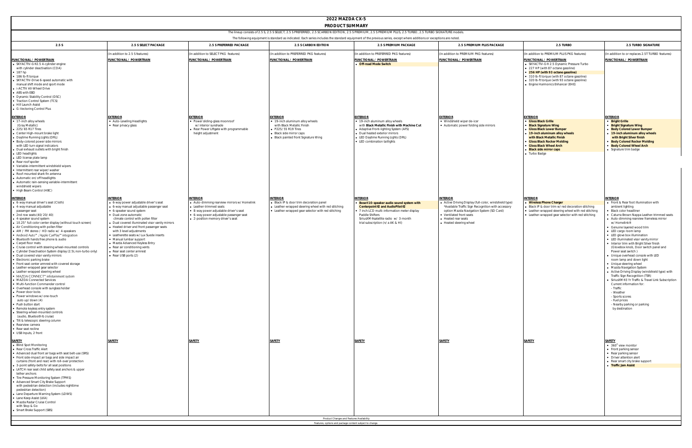| 2022 MAZDA CX-5                                                                                                                                                                                                                                                                                                                                                                                                                                                                                                                                                                                                                                                                                                                                                                                                                                                                                                                                                                                                                                                                                                                                                                                                                                                     |                                                                                                                                                                                                                                                                                                                                                                                                                                                                                                                     |                                                                                                                                                                                                            |                                                                                                                                                                                |                                                                                                                                                                                                                                                  |                                                                                                                                                                                                                                                   |                                                                                                                                                                                                                                                                                                                                  |                                                                                                                                                                                                                                                                                                                                                                                                                                                                                                                                                                                                                                                                                                                                                                                                                                                          |  |  |  |
|---------------------------------------------------------------------------------------------------------------------------------------------------------------------------------------------------------------------------------------------------------------------------------------------------------------------------------------------------------------------------------------------------------------------------------------------------------------------------------------------------------------------------------------------------------------------------------------------------------------------------------------------------------------------------------------------------------------------------------------------------------------------------------------------------------------------------------------------------------------------------------------------------------------------------------------------------------------------------------------------------------------------------------------------------------------------------------------------------------------------------------------------------------------------------------------------------------------------------------------------------------------------|---------------------------------------------------------------------------------------------------------------------------------------------------------------------------------------------------------------------------------------------------------------------------------------------------------------------------------------------------------------------------------------------------------------------------------------------------------------------------------------------------------------------|------------------------------------------------------------------------------------------------------------------------------------------------------------------------------------------------------------|--------------------------------------------------------------------------------------------------------------------------------------------------------------------------------|--------------------------------------------------------------------------------------------------------------------------------------------------------------------------------------------------------------------------------------------------|---------------------------------------------------------------------------------------------------------------------------------------------------------------------------------------------------------------------------------------------------|----------------------------------------------------------------------------------------------------------------------------------------------------------------------------------------------------------------------------------------------------------------------------------------------------------------------------------|----------------------------------------------------------------------------------------------------------------------------------------------------------------------------------------------------------------------------------------------------------------------------------------------------------------------------------------------------------------------------------------------------------------------------------------------------------------------------------------------------------------------------------------------------------------------------------------------------------------------------------------------------------------------------------------------------------------------------------------------------------------------------------------------------------------------------------------------------------|--|--|--|
|                                                                                                                                                                                                                                                                                                                                                                                                                                                                                                                                                                                                                                                                                                                                                                                                                                                                                                                                                                                                                                                                                                                                                                                                                                                                     |                                                                                                                                                                                                                                                                                                                                                                                                                                                                                                                     |                                                                                                                                                                                                            | PRODUCT SUMMARY<br>The lineup consists of 2.5 S, 2.5 S SELECT, 2.5 S PREFERRED, 2.5 SCARBON EDITION, 2.5 S PREMIUM, 2.5 S PREMIUM PLUS, 2.5 TURBO, 2.5 TURBO SIGNATURE models. |                                                                                                                                                                                                                                                  |                                                                                                                                                                                                                                                   |                                                                                                                                                                                                                                                                                                                                  |                                                                                                                                                                                                                                                                                                                                                                                                                                                                                                                                                                                                                                                                                                                                                                                                                                                          |  |  |  |
|                                                                                                                                                                                                                                                                                                                                                                                                                                                                                                                                                                                                                                                                                                                                                                                                                                                                                                                                                                                                                                                                                                                                                                                                                                                                     |                                                                                                                                                                                                                                                                                                                                                                                                                                                                                                                     |                                                                                                                                                                                                            | The following equipment is standard as indicated. Each series includes the standard equipment of the previous series, except where additions or exceptions are noted.          |                                                                                                                                                                                                                                                  |                                                                                                                                                                                                                                                   |                                                                                                                                                                                                                                                                                                                                  |                                                                                                                                                                                                                                                                                                                                                                                                                                                                                                                                                                                                                                                                                                                                                                                                                                                          |  |  |  |
| 2.5 S                                                                                                                                                                                                                                                                                                                                                                                                                                                                                                                                                                                                                                                                                                                                                                                                                                                                                                                                                                                                                                                                                                                                                                                                                                                               | 2.5 S SELECT PACKAGE                                                                                                                                                                                                                                                                                                                                                                                                                                                                                                | 2.5 S PREFERRED PACKAGE                                                                                                                                                                                    | 2.5 S CARBON EDITION                                                                                                                                                           | 2.5 S PREMIUM PACKAGE                                                                                                                                                                                                                            | 2.5 S PREMIUM PLUS PACKAGE                                                                                                                                                                                                                        | 2.5 TURBO                                                                                                                                                                                                                                                                                                                        | 2.5 TURBO SIGNATURE                                                                                                                                                                                                                                                                                                                                                                                                                                                                                                                                                                                                                                                                                                                                                                                                                                      |  |  |  |
| <b>FUNCTIONAL / POWERTRAIN</b><br>• SKYACTIV-G® 2.5 4-cylinder engine<br>with cylinder deactivation (CDA)<br>$\bullet$ 187 hp<br>• 186 lb-ft torque<br>• SKYACTIV-Drive 6-speed automatic with<br>manual shift mode and sport mode<br>• i-ACTIV All-Wheel Drive<br>• ABS with EBD<br>• Dynamic Stability Control (DSC)<br>• Traction Control System (TCS)<br>• Hill Launch Assist<br>• G-Vectoring Control Plus                                                                                                                                                                                                                                                                                                                                                                                                                                                                                                                                                                                                                                                                                                                                                                                                                                                     | (In addition to 2.5 S features)<br><b>FUNCTIONAL / POWERTRAIN</b>                                                                                                                                                                                                                                                                                                                                                                                                                                                   | (In addition to SELECT PKG features)<br><b>FUNCTIONAL / POWERTRAIN</b>                                                                                                                                     | (In addition to PREFERRED PKG features)<br><b>FUNCTIONAL / POWERTRAIN</b>                                                                                                      | (In addition to PREFERRED PKG features)<br><b>FUNCTIONAL / POWERTRAIN</b><br>• Off-road Mode Switch                                                                                                                                              | In addition to PREMIUM PKG features)<br>UNCTIONAL / POWERTRAIN                                                                                                                                                                                    | In addition to PREMIUM PLUS PKG features)<br>UNCTIONAL / POWERTRAIN<br>• SKYACTIV-G® 2.5 Dynamic Pressure Turbo<br>• 227 HP (with 87 octane gasoline)<br>• 256 HP (with 93 octane gasoline)<br>• 310 lb-ft torque (with 87 octane gasoline)<br>• 320 lb-ft torque (with 93 octane gasoline)<br>• Engine Harmonics Enhancer (EHE) | In addition to or replaces 2.5T TURBO features)<br>UNCTIONAL / POWERTRAIN                                                                                                                                                                                                                                                                                                                                                                                                                                                                                                                                                                                                                                                                                                                                                                                |  |  |  |
| <b>EXTERIOR</b><br>• 17-inch alloy wheels<br>(Gray Metallic)<br>• 225/65 R17 Tires<br>• Center High-mount brake light<br>• Daytime Running Lights (DRL)<br>• Body-colored power side mirrors<br>with LED turn signal indicators<br>• Dual exhaust outlets with bright finish<br>• LED headlights<br>• LED license plate lamp<br>• Rear roof spoiler<br>• Variable-intermittent windshield wipers<br>• Intermittent rear wiper/washer<br>• Roof-mounted shark fin antenna<br>• Automatic on/off headlights<br>• Automatic rain-sensing variable-intermittent<br>windshield wipers<br>• High Beam Control (HBC)                                                                                                                                                                                                                                                                                                                                                                                                                                                                                                                                                                                                                                                       | <b>EXTERIOR</b><br>• Auto-Leveling Headlights<br>• Rear privacy glass                                                                                                                                                                                                                                                                                                                                                                                                                                               | exterior<br>• Power sliding-glass moonroof<br>w/interior sunshade<br>Rear Power Liftgate with programmable<br>height adjustment                                                                            | <b>EXTERIOR</b><br>• 19-inch aluminum alloy wheels<br>with Black Metallic Finish<br>• P225/55 R19 Tires<br>• Black side mirror caps<br>• Black painted front Signature Wing    | <b>XTERIOR</b><br>• 19-inch aluminum alloy wheels<br>with Black Metallic Finish with Machine Cut<br>Adaptive Front-lighting System (AFS)<br>· Dual heated exterior mirrors<br>• LED Daytime Running Lights (DRL)<br>• LED combination taillights | <b>KTERIOR</b><br>• Windshield wiper de-icer<br>• Automatic power folding side mirrors                                                                                                                                                            | <b>XTERIOR</b><br>• Gloss Black Grille<br>• Black Signature Wing<br>• Gloss Black Lower Bumper<br>. 19-inch aluminum alloy wheels<br>with Black Metallic Finish<br>• Gloss Black Rocker Molding<br>• Gloss Black Wheel Arch<br>• Black side mirror caps<br>• Turbo Badge                                                         | <b>KTERIOR</b><br>• Bright Grille<br>Bright Signature Wing<br><b>Body Colored Lower Bumper</b><br>. 19-inch aluminum alloy wheels<br>with Bright Silver finish<br><b>Body Colored Rocker Molding</b><br><b>Body Colored Wheel Arch</b><br>· Signature trim badge                                                                                                                                                                                                                                                                                                                                                                                                                                                                                                                                                                                         |  |  |  |
| <b>INTERIOR</b><br>• 6-way manual driver's seat (Cloth)<br>· 4-way manual adjustable<br>passenger seat<br>$\bullet$ 2nd row seats (40/20/40)<br>• 4-speaker sound system<br>. 10.25" full-color center display (without touch screen)<br>• Air Conditioning with pollen filter<br>• AM / FM stereo / HD radio w/ 4-speakers<br>● Android Auto <sup>™</sup> / Apple CarPlay™ integration<br>• Bluetooth hands free phone & audio<br>• Carpet floor mats<br>• Cruise control with steering wheel-mounted controls<br>• Cylinder Deactivation System display (2.5L non-turbo only)<br>• Dual covered visor vanity mirrors<br>• Electronic parking brake<br>• Front seat center armrest with covered storage<br>• Leather-wrapped gear selector<br>• Leather-wrapped steering wheel<br>• MAZDA CONNECT <sup>™</sup> infotainment system<br>• MAZDA Connected Services<br>• Multi-function Commander control<br>• Overhead console with sunglass holder<br>• Power door locks<br>• Power windows w/one-touch<br>auto up/down (4)<br>• Push button start<br>• Remote keyless entry system<br>• Steering-wheel-mounted controls<br>(audio, Bluetooth®, cruise)<br>• Tilt & telescopic steering column<br>• Rearview camera<br>• Rear seat recline<br>• USB Inputs, 2 front | nterior<br>• 6-way power adjustable driver's seat<br>• 6-way manual adjustable passenger seat<br>• 6-speaker sound system<br>• Dual-zone automatic<br>climate control with pollen filter<br>• Dual covered illuminated visor vanity mirrors<br>• Heated driver and front passenger seats<br>with 3 level adjustments<br>• Leatherette seats w/Lux Suede inserts<br>· Manual lumbar support<br>• Mazda Advanced Keyless Entry<br>• Rear air conditioning vents<br>• Rear seat center armrest<br>• Rear USB ports (2) | nterior<br>• Auto-dimming rearview mirrors w/Homelink<br>• Leather-trimmed seats<br>• 8-way power adjustable driver's seat<br>• 6-way power adjustable passenger seat<br>• 2-position memory driver's seat | <b>INTERIOR</b><br>• Black IP & door trim decoration panel<br>• Leather-wrapped steering wheel with red stitching<br>• Leather-wrapped gear selector with red stitching        | <b>NTERIOR</b><br>. Bose® 10-speaker audio sound system with<br>Centerpoint®2 and AudioPilot®2<br>• 7 inch LCD multi-information meter display<br>Paddle Shifters<br>SiriusXM® satellite radio w/ 3-month<br>trial subscription (n/a AK & HI)    | jterior<br>• Active Driving Display (full-color, windshield type)<br>*Available Traffic Sign Recognition with accessory<br>option Mazda Navigation System (SD Card)<br>• Ventilated front seats<br>• Heated rear seats<br>• Heated steering wheel | <b>ITERIOR</b><br>• Wireless Phone Charger<br>· Black IP & door trim w/red decoration stitching<br>• Leather-wrapped steering wheel with red stitching<br>• Leather-wrapped gear selector with red stitching                                                                                                                     | <b>JTERIOR</b><br>• Front & Rear foot illumination with<br>ambient lighting<br>Black color headliner<br>Caturra Brown Nappa Leather-trimmed seats<br>Auto-dimming rearview frameless mirror<br>w/Homelink®<br>Genuine layered wood trim<br>LED cargo room lamp<br>• LED glove box illumination<br>LED illuminated visor vanity mirror<br>Interior trim with Bright Silver finish<br>(Glovebox knob, Door switch panel and<br>Power seat switch)<br>Unique overhead console with LED<br>room lamp and down light<br>Unique steering wheel<br>• Mazda Navigation System<br>Active Driving Display (windshield type) with<br>Traffic Sign Recognition (TSR)<br>SiriusXM® 3 Yr Traffic & Travel Link Subscription<br>Current information for:<br>- Traffic<br>- Weather<br>- Sports scores<br>- Fuel prices<br>- Nearby parking or parking<br>by destination |  |  |  |
| SAFETY<br>• Blind Spot Monitoring<br>• Rear Cross Traffic Alert<br>• Advanced dual front air bags with seat belt-use (SRS)<br>• Front side-impact air bags and side impact air<br>curtains (front and rear) with roll-over protection<br>• 3-point safety-belts for all seat positions<br>• LATCH rear seat child safety seat anchors & upper<br>tether anchors<br>• Tire Pressure Monitoring System (TPMS)<br>• Advanced Smart City Brake Support<br>with pedestrian detection (includes nighttime<br>pedestrian detection)<br>• Lane Departure Warning System (LDWS)<br>• Lane Keep Assist (LKA)<br>· Mazda Radar Cruise Control<br>with Stop & Go<br>• Smart Brake Support (SBS)                                                                                                                                                                                                                                                                                                                                                                                                                                                                                                                                                                                 | SAFETY                                                                                                                                                                                                                                                                                                                                                                                                                                                                                                              | SAFETY                                                                                                                                                                                                     | SAFETY<br>Product Changes and Features Availability                                                                                                                            | SAFETY                                                                                                                                                                                                                                           | SAFETY                                                                                                                                                                                                                                            | SAFETY                                                                                                                                                                                                                                                                                                                           | SAFETY<br>• 360° view monitor<br>• Front parking sensor<br>· Rear parking sensor<br>• Driver attention alert<br>• Rear smart city brake support<br>• Traffic Jam Assist                                                                                                                                                                                                                                                                                                                                                                                                                                                                                                                                                                                                                                                                                  |  |  |  |
|                                                                                                                                                                                                                                                                                                                                                                                                                                                                                                                                                                                                                                                                                                                                                                                                                                                                                                                                                                                                                                                                                                                                                                                                                                                                     |                                                                                                                                                                                                                                                                                                                                                                                                                                                                                                                     |                                                                                                                                                                                                            | Features, options and package content subject to change.                                                                                                                       |                                                                                                                                                                                                                                                  |                                                                                                                                                                                                                                                   |                                                                                                                                                                                                                                                                                                                                  |                                                                                                                                                                                                                                                                                                                                                                                                                                                                                                                                                                                                                                                                                                                                                                                                                                                          |  |  |  |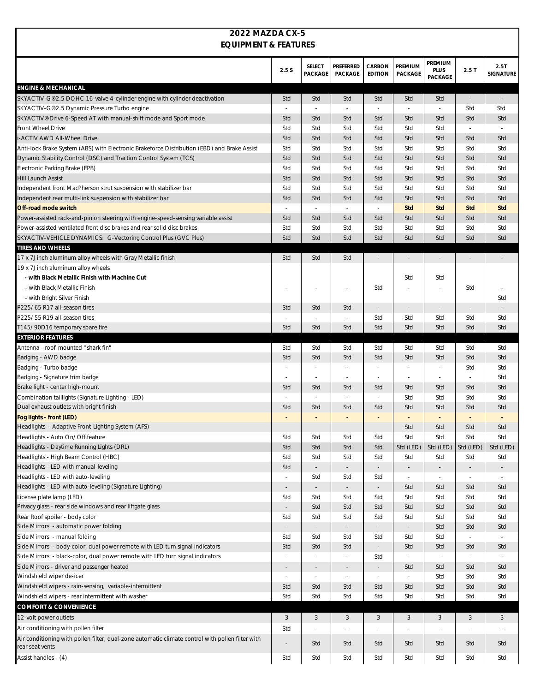| 2022 MAZDA CX-5                                                                                                                                                  |                                 |                                 |                          |                                 |                                 |                                 |            |                          |
|------------------------------------------------------------------------------------------------------------------------------------------------------------------|---------------------------------|---------------------------------|--------------------------|---------------------------------|---------------------------------|---------------------------------|------------|--------------------------|
| <b>EQUIPMENT &amp; FEATURES</b>                                                                                                                                  |                                 |                                 |                          |                                 |                                 |                                 |            |                          |
|                                                                                                                                                                  | 2.5S                            | SELECT<br>PACKAGE               | PREFERRED<br>PACKAGE     | CARBON<br><b>EDITION</b>        | PREMIUM<br>PACKAGE              | PREMIUM<br>PLUS<br>PACKAGE      | 2.5T       | 2.5T<br>SIGNATURE        |
| <b>ENGINE &amp; MECHANICAL</b>                                                                                                                                   |                                 |                                 |                          |                                 |                                 |                                 |            |                          |
| SKYACTIV-G® 2.5 DOHC 16-valve 4-cylinder engine with cylinder deactivation                                                                                       | Std                             | Std                             | Std                      | Std                             | Std                             | Std                             |            |                          |
| SKYACTIV-G® 2.5 Dynamic Pressure Turbo engine                                                                                                                    | $\omega$                        | $\sim$                          | ÷,                       | L.                              |                                 | $\sim$                          | Std        | Std                      |
| SKYACTIV <sup>®</sup> -Drive 6-Speed AT with manual-shift mode and Sport mode                                                                                    | Std                             | Std                             | Std                      | Std                             | Std                             | Std                             | Std        | Std                      |
| Front Wheel Drive                                                                                                                                                | Std                             | Std                             | Std                      | Std                             | Std                             | Std                             |            |                          |
| -ACTIV AWD All-Wheel Drive                                                                                                                                       | Std                             | Std<br>Std                      | Std<br>Std               | Std                             | Std                             | Std<br>Std                      | Std<br>Std | Std<br>Std               |
| Anti-lock Brake System (ABS) with Electronic Brakeforce Distribution (EBD) and Brake Assist<br>Dynamic Stability Control (DSC) and Traction Control System (TCS) | Std<br>Std                      | Std                             | Std                      | Std<br>Std                      | Std<br>Std                      | Std                             | Std        | Std                      |
| Electronic Parking Brake (EPB)                                                                                                                                   | Std                             | Std                             | Std                      | Std                             | Std                             | Std                             | Std        | Std                      |
| Hill Launch Assist                                                                                                                                               | Std                             | Std                             | Std                      | Std                             | Std                             | Std                             | Std        | Std                      |
| Independent front MacPherson strut suspension with stabilizer bar                                                                                                | Std                             | Std                             | Std                      | Std                             | Std                             | Std                             | Std        | Std                      |
| Independent rear multi-link suspension with stabilizer bar                                                                                                       | Std                             | Std                             | Std                      | Std                             | Std                             | Std                             | Std        | Std                      |
| Off-road mode switch                                                                                                                                             | $\omega$                        | $\sim$                          | L.                       | ä,                              | Std                             | Std                             | Std        | Std                      |
| Power-assisted rack-and-pinion steering with engine-speed-sensing variable assist                                                                                | Std                             | Std                             | Std                      | Std                             | Std                             | Std                             | Std        | Std                      |
| Power-assisted ventilated front disc brakes and rear solid disc brakes                                                                                           | Std                             | Std                             | Std                      | Std                             | Std                             | Std                             | Std        | Std                      |
| SKYACTIV-VEHICLE DYNAMICS: G-Vectoring Control Plus (GVC Plus)                                                                                                   | Std                             | Std                             | Std                      | Std                             | Std                             | Std                             | Std        | Std                      |
| TIRES AND WHEELS                                                                                                                                                 |                                 |                                 |                          |                                 |                                 |                                 |            |                          |
| 17 x 7J inch aluminum alloy wheels with Gray Metallic finish                                                                                                     | Std                             | Std                             | Std                      |                                 |                                 |                                 |            |                          |
| 19 x 7J inch aluminum alloy wheels                                                                                                                               |                                 |                                 |                          |                                 |                                 |                                 |            |                          |
| - with Black Metallic Finish with Machine Cut                                                                                                                    |                                 |                                 |                          |                                 | Std                             | Std                             |            |                          |
| - with Black Metallic Finish                                                                                                                                     |                                 |                                 |                          | Std                             |                                 |                                 | Std        |                          |
| - with Bright Silver Finish                                                                                                                                      |                                 |                                 |                          |                                 |                                 |                                 |            | Std                      |
| P225/65 R17 all-season tires                                                                                                                                     | Std                             | Std                             | Std                      | $\overline{\phantom{a}}$        | $\sim$                          | $\sim$                          |            | $\overline{\phantom{a}}$ |
| P225/55 R19 all-season tires                                                                                                                                     |                                 |                                 |                          | Std                             | Std                             | Std                             | Std        | Std                      |
| T145/90D16 temporary spare tire                                                                                                                                  | Std                             | Std                             | Std                      | Std                             | Std                             | Std                             | Std        | Std                      |
| <b>EXTERIOR FEATURES</b>                                                                                                                                         |                                 |                                 |                          |                                 |                                 |                                 |            |                          |
| Antenna - roof-mounted "shark fin"                                                                                                                               | Std                             | Std                             | Std                      | Std                             | Std                             | Std                             | Std        | Std                      |
| Badging - AWD badge                                                                                                                                              | Std                             | Std                             | Std                      | Std                             | Std                             | Std<br>÷,                       | Std<br>Std | Std<br>Std               |
| Badging - Turbo badge<br>Badging - Signature trim badge                                                                                                          | ÷,                              |                                 |                          | $\sim$                          | ÷                               | $\sim$                          |            | Std                      |
| Brake light - center high-mount                                                                                                                                  | Std                             | Std                             | Std                      | Std                             | Std                             | Std                             | Std        | Std                      |
| Combination taillights (Signature Lighting - LED)                                                                                                                | ÷,                              |                                 |                          | $\sim$                          | Std                             | Std                             | Std        | Std                      |
| Dual exhaust outlets with bright finish                                                                                                                          | Std                             | Std                             | Std                      | Std                             | Std                             | Std                             | Std        | Std                      |
| Fog lights - front (LED)                                                                                                                                         |                                 |                                 |                          |                                 |                                 |                                 |            |                          |
| Headlights - Adaptive Front-Lighting System (AFS)                                                                                                                |                                 |                                 |                          |                                 | Std                             | Std                             | Std        | Std                      |
| Headlights - Auto On/Off feature                                                                                                                                 | Std                             | Std                             | Std                      | Std                             | Std                             | Std                             | Std        | Std                      |
| Headlights - Daytime Running Lights (DRL)                                                                                                                        | Std                             | Std                             | Std                      | Std                             | Std (LED)                       | Std (LED)                       | Std (LED)  | Std (LED)                |
| Headlights - High Beam Control (HBC)                                                                                                                             | Std                             | Std                             | Std                      | Std                             | Std                             | Std                             | Std        | Std                      |
| Headlights - LED with manual-leveling                                                                                                                            | Std                             |                                 | $\sim$                   |                                 |                                 |                                 |            |                          |
| Headlights - LED with auto-leveling                                                                                                                              | $\overline{\phantom{a}}$        | Std                             | Std                      | Std                             | $\overline{\phantom{a}}$        | $\overline{\phantom{a}}$        |            |                          |
| Headlights - LED with auto-leveling (Signature Lighting)                                                                                                         | $\equiv$                        |                                 |                          | $\overline{\phantom{a}}$        | Std                             | Std                             | Std        | Std                      |
| License plate lamp (LED)                                                                                                                                         | Std                             | Std                             | Std                      | Std                             | Std                             | Std                             | Std        | Std                      |
| Privacy glass - rear side windows and rear liftgate glass                                                                                                        | $\overline{\phantom{a}}$        | Std                             | Std                      | Std                             | Std                             | Std                             | Std        | Std                      |
| Rear Roof spoiler - body color                                                                                                                                   | Std                             | Std                             | Std                      | Std                             | Std                             | Std                             | Std        | Std                      |
| Side Mirrors - automatic power folding                                                                                                                           | $\blacksquare$                  |                                 | $\overline{\phantom{a}}$ | $\overline{\phantom{a}}$        | $\overline{\phantom{a}}$        | Std                             | Std        | Std                      |
| Side Mirrors - manual folding                                                                                                                                    | Std                             | Std                             | Std                      | Std                             | Std                             | Std                             |            |                          |
| Side Mirrors - body-color, dual power remote with LED turn signal indicators<br>Side Mirrors - black-color, dual power remote with LED turn signal indicators    | Std                             | Std                             | Std                      | $\overline{\phantom{a}}$        | Std                             | Std                             | Std        | Std                      |
| Side Mirrors - driver and passenger heated                                                                                                                       | ÷,                              | ÷                               |                          | Std<br>$\overline{\phantom{a}}$ | $\overline{\phantom{a}}$<br>Std | $\overline{\phantom{a}}$<br>Std |            |                          |
| Windshield wiper de-icer                                                                                                                                         |                                 |                                 |                          |                                 |                                 |                                 | Std        | Std                      |
| Windshield wipers - rain-sensing, variable-intermittent                                                                                                          | $\overline{\phantom{a}}$<br>Std | $\overline{\phantom{a}}$<br>Std | Std                      | $\equiv$<br>Std                 | $\overline{\phantom{a}}$<br>Std | Std<br>Std                      | Std<br>Std | Std<br>Std               |
| Windshield wipers - rear intermittent with washer                                                                                                                | Std                             | Std                             | Std                      | Std                             | Std                             | Std                             | Std        | Std                      |
| <b>COMFORT &amp; CONVENIENCE</b>                                                                                                                                 |                                 |                                 |                          |                                 |                                 |                                 |            |                          |
| 12-volt power outlets                                                                                                                                            | 3                               | 3                               | 3                        | 3                               | 3                               | 3                               | 3          | 3                        |
| Air conditioning with pollen filter                                                                                                                              | Std                             |                                 |                          |                                 |                                 |                                 |            |                          |
| Air conditioning with pollen filter, dual-zone automatic climate control with pollen filter with                                                                 |                                 |                                 |                          |                                 |                                 |                                 |            |                          |
| rear seat vents                                                                                                                                                  |                                 | Std                             | Std                      | Std                             | Std                             | Std                             | Std        | Std                      |
| Assist handles - (4)                                                                                                                                             | Std                             | Std                             | Std                      | Std                             | Std                             | Std                             | Std        | Std                      |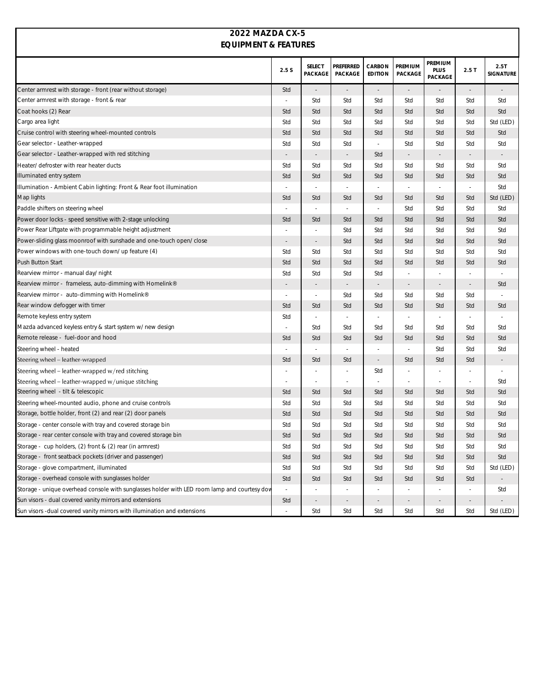| 2022 MAZDA CX-5                                                                              |                          |                   |                          |                          |                          |                                   |                          |                          |  |  |
|----------------------------------------------------------------------------------------------|--------------------------|-------------------|--------------------------|--------------------------|--------------------------|-----------------------------------|--------------------------|--------------------------|--|--|
| <b>EQUIPMENT &amp; FEATURES</b>                                                              |                          |                   |                          |                          |                          |                                   |                          |                          |  |  |
|                                                                                              |                          |                   |                          |                          |                          |                                   |                          |                          |  |  |
|                                                                                              | 2.5S                     | SELECT<br>PACKAGE | PREFERRED<br>PACKAGE     | CARBON<br><b>EDITION</b> | PREMIUM<br>PACKAGE       | PREMIUM<br><b>PLUS</b><br>PACKAGE | 2.5T                     | 2.5T<br>SIGNATURE        |  |  |
| Center armrest with storage - front (rear without storage)                                   | Std                      | $\equiv$          | $\overline{\phantom{a}}$ | $\bar{a}$                | $\overline{\phantom{a}}$ | $\overline{\phantom{a}}$          | $\sim$                   | $\overline{\phantom{a}}$ |  |  |
| Center armrest with storage - front & rear                                                   |                          | Std               | Std                      | Std                      | Std                      | Std                               | Std                      | Std                      |  |  |
| Coat hooks (2) Rear                                                                          | Std                      | Std               | Std                      | Std                      | Std                      | Std                               | Std                      | Std                      |  |  |
| Cargo area light                                                                             | Std                      | Std               | Std                      | Std                      | Std                      | Std                               | Std                      | Std (LED)                |  |  |
| Cruise control with steering wheel-mounted controls                                          | Std                      | Std               | Std                      | Std                      | Std                      | Std                               | Std                      | Std                      |  |  |
| Gear selector - Leather-wrapped                                                              | Std                      | Std               | Std                      | ÷.                       | Std                      | Std                               | Std                      | Std                      |  |  |
| Gear selector - Leather-wrapped with red stitching                                           |                          |                   | $\sim$                   | Std                      | $\sim$                   |                                   | $\overline{\phantom{a}}$ | $\overline{\phantom{a}}$ |  |  |
| Heater/defroster with rear heater ducts                                                      | Std                      | Std               | Std                      | Std                      | Std                      | Std                               | Std                      | Std                      |  |  |
| Illuminated entry system                                                                     | Std                      | Std               | Std                      | Std                      | Std                      | Std                               | Std                      | Std                      |  |  |
| Illumination - Ambient Cabin lighting: Front & Rear foot illumination                        |                          |                   | ÷,                       |                          | $\overline{\phantom{a}}$ |                                   | $\sim$                   | Std                      |  |  |
| Map lights                                                                                   | Std                      | Std               | Std                      | Std                      | Std                      | Std                               | Std                      | Std (LED)                |  |  |
| Paddle shifters on steering wheel                                                            |                          |                   | ÷,                       | ÷,                       | Std                      | Std                               | Std                      | Std                      |  |  |
| Power door locks - speed sensitive with 2-stage unlocking                                    | Std                      | Std               | Std                      | Std                      | Std                      | Std                               | Std                      | Std                      |  |  |
| Power Rear Liftgate with programmable height adjustment                                      |                          |                   | Std                      | Std                      | Std                      | Std                               | Std                      | Std                      |  |  |
| Power-sliding glass moonroof with sunshade and one-touch open/close                          | $\overline{\phantom{a}}$ |                   | Std                      | Std                      | Std                      | Std                               | Std                      | Std                      |  |  |
| Power windows with one-touch down/up feature (4)                                             | Std                      | Std               | Std                      | Std                      | Std                      | Std                               | Std                      | Std                      |  |  |
| Push Button Start                                                                            | Std                      | Std               | Std                      | Std                      | Std                      | Std                               | Std                      | Std                      |  |  |
| Rearview mirror - manual day/night                                                           | Std                      | Std               | Std                      | Std                      |                          |                                   |                          |                          |  |  |
| Rearview mirror - frameless, auto-dimming with Homelink®                                     |                          |                   | $\overline{\phantom{a}}$ | $\bar{a}$                | $\overline{\phantom{a}}$ |                                   | $\sim$                   | Std                      |  |  |
| Rearview mirror - auto-dimming with Homelink®                                                |                          |                   | Std                      | Std                      | Std                      | Std                               | Std                      |                          |  |  |
| Rear window defogger with timer                                                              | Std                      | Std               | Std                      | Std                      | Std                      | Std                               | Std                      | Std                      |  |  |
| Remote keyless entry system                                                                  | Std                      |                   | ÷,                       |                          |                          |                                   |                          |                          |  |  |
| Mazda advanced keyless entry & start system w/new design                                     |                          | Std               | Std                      | Std                      | Std                      | Std                               | Std                      | Std                      |  |  |
| Remote release - fuel-door and hood                                                          | Std                      | Std               | Std                      | Std                      | Std                      | Std                               | Std                      | Std                      |  |  |
| Steering wheel - heated                                                                      |                          |                   |                          |                          |                          | Std                               | Std                      | Std                      |  |  |
| Steering wheel – leather-wrapped                                                             | Std                      | Std               | Std                      | $\overline{\phantom{a}}$ | Std                      | Std                               | Std                      | $\equiv$                 |  |  |
| Steering wheel – leather-wrapped w/red stitching                                             |                          |                   |                          | Std                      |                          |                                   |                          |                          |  |  |
| Steering wheel – leather-wrapped w/unique stitching                                          |                          |                   | ÷,                       |                          | $\ddot{\phantom{1}}$     |                                   | $\sim$                   | Std                      |  |  |
| Steering wheel - tilt & telescopic                                                           | Std                      | Std               | Std                      | Std                      | Std                      | Std                               | Std                      | Std                      |  |  |
| Steering wheel-mounted audio, phone and cruise controls                                      | Std                      | Std               | Std                      | Std                      | Std                      | Std                               | Std                      | Std                      |  |  |
| Storage, bottle holder, front (2) and rear (2) door panels                                   | Std                      | Std               | Std                      | Std                      | Std                      | Std                               | Std                      | Std                      |  |  |
| Storage - center console with tray and covered storage bin                                   | Std                      | Std               | Std                      | Std                      | Std                      | Std                               | Std                      | Std                      |  |  |
| Storage - rear center console with tray and covered storage bin                              | Std                      | Std               | Std                      | Std                      | Std                      | Std                               | Std                      | Std                      |  |  |
| Storage - cup holders, (2) front & (2) rear (in armrest)                                     | Std                      | Std               | Std                      | Std                      | Std                      | Std                               | Std                      | Std                      |  |  |
| Storage - front seatback pockets (driver and passenger)                                      | Std                      | Std               | Std                      | Std                      | Std                      | Std                               | Std                      | Std                      |  |  |
| Storage - glove compartment, illuminated                                                     | Std                      | Std               | Std                      | Std                      | Std                      | Std                               | Std                      | Std (LED)                |  |  |
| Storage - overhead console with sunglasses holder                                            | Std                      | Std               | Std                      | Std                      | Std                      | Std                               | Std                      |                          |  |  |
| Storage - unique overhead console with sunglasses holder with LED room lamp and courtesy dov | $\overline{\phantom{a}}$ |                   |                          |                          |                          |                                   |                          | Std                      |  |  |
| Sun visors - dual covered vanity mirrors and extensions                                      | Std                      | ÷,                | $\overline{\phantom{a}}$ | $\sim$                   | $\sim$                   | $\overline{\phantom{a}}$          | $\overline{\phantom{a}}$ |                          |  |  |
| Sun visors - dual covered vanity mirrors with illumination and extensions                    |                          | Std               | Std                      | Std                      | Std                      | Std                               | Std                      | Std (LED)                |  |  |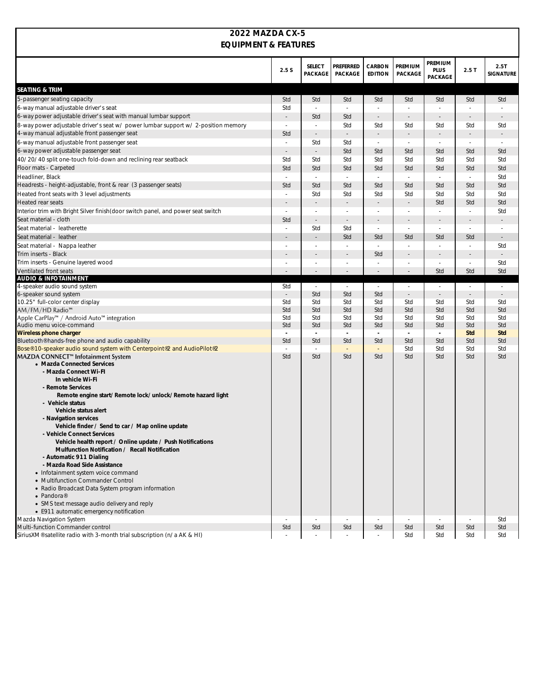| 2022 MAZDA CX-5                                                                         |                          |                          |                      |                          |                          |                            |            |                          |
|-----------------------------------------------------------------------------------------|--------------------------|--------------------------|----------------------|--------------------------|--------------------------|----------------------------|------------|--------------------------|
| <b>EQUIPMENT &amp; FEATURES</b>                                                         |                          |                          |                      |                          |                          |                            |            |                          |
|                                                                                         | 2.5S                     | <b>SELECT</b><br>PACKAGE | PREFERRED<br>PACKAGE | CARBON<br><b>EDITION</b> | PREMIUM<br>PACKAGE       | PREMIUM<br>PLUS<br>PACKAGE | 2.5T       | 2.5T<br>SIGNATURE        |
| <b>SEATING &amp; TRIM</b>                                                               |                          |                          |                      |                          |                          |                            |            |                          |
| 5-passenger seating capacity                                                            | Std                      | Std                      | Std                  | Std                      | Std                      | Std                        | Std        | Std                      |
| 6-way manual adjustable driver's seat                                                   | Std                      | ÷.                       |                      | ÷.                       | $\overline{a}$           | $\sim$                     |            |                          |
| 6-way power adjustable driver's seat with manual lumbar support                         | $\sim$                   | Std                      | Std                  | $\bar{a}$                | $\overline{\phantom{a}}$ |                            |            | $\sim$                   |
| 8-way power adjustable driver's seat w/ power lumbar support w/ 2-position memory       | $\overline{\phantom{a}}$ | $\sim$                   | Std                  | Std                      | Std                      | Std                        | Std        | Std                      |
| 4-way manual adjustable front passenger seat                                            | Std                      | ÷.                       |                      | $\overline{\phantom{a}}$ | $\overline{\phantom{a}}$ | $\sim$                     |            |                          |
| 6-way manual adjustable front passenger seat                                            | ÷.                       | Std                      | Std                  | $\sim$                   | $\sim$                   | ÷,                         |            | ÷.                       |
| 6-way power adjustable passenger seat                                                   | $\sim$                   | ÷.                       | Std                  | Std                      | Std                      | Std                        | Std        | Std                      |
| 40/20/40 split one-touch fold-down and reclining rear seatback<br>Floor mats - Carpeted | Std<br>Std               | Std<br>Std               | Std<br>Std           | Std<br>Std               | Std<br>Std               | Std<br>Std                 | Std<br>Std | Std<br>Std               |
| Headliner, Black                                                                        |                          | ÷.                       | ÷.                   | ÷.                       | ÷.                       | $\sim$                     |            | Std                      |
| Headrests - height-adjustable, front & rear (3 passenger seats)                         | Std                      | Std                      | Std                  | Std                      | Std                      | Std                        | Std        | Std                      |
| Heated front seats with 3 level adjustments                                             | ×,                       | Std                      | Std                  | Std                      | Std                      | Std                        | Std        | Std                      |
| <b>Heated rear seats</b>                                                                |                          |                          |                      |                          |                          | Std                        | Std        | Std                      |
| Interior trim with Bright Silver finish (door switch panel, and power seat switch       | ×,                       | ÷,                       |                      | ÷,                       | $\ddot{\phantom{1}}$     |                            |            | Std                      |
| Seat material - cloth                                                                   | Std                      |                          |                      | $\qquad \qquad -$        |                          |                            |            |                          |
| Seat material - leatherette                                                             | $\sim$                   | Std                      | Std                  | $\sim$                   | $\sim$                   | ÷.                         |            | $\sim$                   |
| Seat material - leather                                                                 |                          | $\overline{\phantom{a}}$ | Std                  | Std                      | Std                      | Std                        | Std        | $\sim$                   |
| Seat material - Nappa leather                                                           | $\sim$                   | ÷.                       |                      | $\sim$                   | $\sim$                   | ÷.                         | $\sim$     | Std                      |
| Trim inserts - Black                                                                    |                          | $\equiv$                 | $\sim$               | Std                      | $\overline{\phantom{a}}$ | $\sim$                     | $\sim$     | $\overline{\phantom{a}}$ |
| Trim inserts - Genuine layered wood                                                     | $\sim$                   | ä,                       |                      | $\sim$                   | ÷,                       | $\sim$                     |            | Std                      |
| Ventilated front seats<br>AUDIO & INFOTAINMENT                                          |                          |                          |                      |                          |                          | Std                        | Std        | Std                      |
| 4-speaker audio sound system                                                            | Std                      | ÷.                       | ÷,                   | ÷.                       | $\ddot{\phantom{1}}$     | $\sim$                     |            | $\sim$                   |
| 6-speaker sound system                                                                  |                          | Std                      | Std                  | Std                      | ÷,                       | $\sim$                     |            | $\sim$                   |
| 10.25" full-color center display                                                        | Std                      | Std                      | Std                  | Std                      | Std                      | Std                        | Std        | Std                      |
| AM/FM/HD Radio <sup>™</sup>                                                             | Std                      | Std                      | Std                  | Std                      | Std                      | Std                        | Std        | Std                      |
| Apple CarPlay™ / Android Auto™ integration                                              | Std                      | Std                      | Std                  | Std                      | Std                      | Std                        | Std        | Std                      |
| Audio menu voice-command<br>Wireless phone charger                                      | Std<br>$\sim$            | Std                      | Std                  | Std<br>ä,                | Std<br>$\sim$            | Std                        | Std<br>Std | Std<br>Std               |
| Bluetooth® hands-free phone and audio capability                                        | Std                      | Std                      | Std                  | Std                      | Std                      | Std                        | Std        | Std                      |
| Bose® 10-speaker audio sound system with Centerpoint®2 and AudioPilot®2                 | $\sim$                   |                          |                      |                          | Std                      | Std                        | Std        | Std                      |
| MAZDA CONNECT <sup>™</sup> Infotainment System                                          | Std                      | Std                      | Std                  | Std                      | Std                      | Std                        | Std        | Std                      |
| • Mazda Connected Services<br>- Mazda Connect Wi-Fl                                     |                          |                          |                      |                          |                          |                            |            |                          |
| In vehicle Wi-Fi                                                                        |                          |                          |                      |                          |                          |                            |            |                          |
| - Remote Services                                                                       |                          |                          |                      |                          |                          |                            |            |                          |
| Remote engine start/Remote lock/unlock/Remote hazard light<br>- Vehicle status          |                          |                          |                      |                          |                          |                            |            |                          |
| Vehicle status alert<br>- Navigation services                                           |                          |                          |                      |                          |                          |                            |            |                          |
| Vehicle finder / Send to car / Map online update                                        |                          |                          |                      |                          |                          |                            |            |                          |
| - Vehicle Connect Services                                                              |                          |                          |                      |                          |                          |                            |            |                          |
| Vehicle health report / Online update / Push Notifications                              |                          |                          |                      |                          |                          |                            |            |                          |
| Mulfunction Notification / Recall Notification<br>- Automatic 911 Dialing               |                          |                          |                      |                          |                          |                            |            |                          |
| - Mazda Road Side Assistance<br>• Infotainment system voice command                     |                          |                          |                      |                          |                          |                            |            |                          |
| • Multifunction Commander Control                                                       |                          |                          |                      |                          |                          |                            |            |                          |
| • Radio Broadcast Data System program information                                       |                          |                          |                      |                          |                          |                            |            |                          |
| • Pandora®                                                                              |                          |                          |                      |                          |                          |                            |            |                          |
| • SMS text message audio delivery and reply                                             |                          |                          |                      |                          |                          |                            |            |                          |
| • E911 automatic emergency notification                                                 |                          |                          |                      |                          |                          |                            |            |                          |
| Mazda Navigation System<br>Multi-function Commander control                             | $\sim$<br>Std            | ÷.<br>Std                | Std                  | $\sim$<br>Std            | Std                      | $\sim$<br>Std              | Std        | Std<br>Std               |
| SiriusXM® satellite radio with 3-month trial subscription (n/a AK & HI)                 |                          |                          |                      |                          | Std                      | Std                        | Std        | Std                      |
|                                                                                         |                          |                          |                      |                          |                          |                            |            |                          |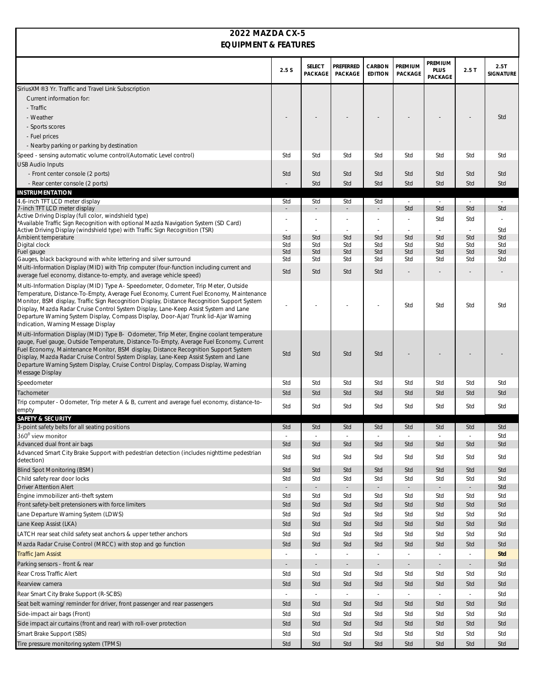| 2022 MAZDA CX-5<br><b>EQUIPMENT &amp; FEATURES</b>                                                                                                                                                                                                                                                                                                                               |                          |                          |                          |                          |                          |                                   |            |                   |  |  |
|----------------------------------------------------------------------------------------------------------------------------------------------------------------------------------------------------------------------------------------------------------------------------------------------------------------------------------------------------------------------------------|--------------------------|--------------------------|--------------------------|--------------------------|--------------------------|-----------------------------------|------------|-------------------|--|--|
|                                                                                                                                                                                                                                                                                                                                                                                  |                          |                          |                          |                          |                          |                                   |            |                   |  |  |
|                                                                                                                                                                                                                                                                                                                                                                                  | 2.5S                     | <b>SELECT</b><br>PACKAGE | PREFERRED<br>PACKAGE     | CARBON<br><b>EDITION</b> | PREMIUM<br>PACKAGE       | PREMIUM<br><b>PLUS</b><br>PACKAGE | 2.5T       | 2.5T<br>SIGNATURE |  |  |
| SiriusXM® 3 Yr. Traffic and Travel Link Subscription                                                                                                                                                                                                                                                                                                                             |                          |                          |                          |                          |                          |                                   |            |                   |  |  |
| Current information for:                                                                                                                                                                                                                                                                                                                                                         |                          |                          |                          |                          |                          |                                   |            |                   |  |  |
| - Traffic                                                                                                                                                                                                                                                                                                                                                                        |                          |                          |                          |                          |                          |                                   |            |                   |  |  |
| - Weather                                                                                                                                                                                                                                                                                                                                                                        |                          |                          |                          |                          |                          |                                   |            | Std               |  |  |
| - Sports scores                                                                                                                                                                                                                                                                                                                                                                  |                          |                          |                          |                          |                          |                                   |            |                   |  |  |
| - Fuel prices                                                                                                                                                                                                                                                                                                                                                                    |                          |                          |                          |                          |                          |                                   |            |                   |  |  |
| - Nearby parking or parking by destination                                                                                                                                                                                                                                                                                                                                       |                          |                          |                          |                          |                          |                                   |            |                   |  |  |
| Speed - sensing automatic volume control(Automatic Level control)                                                                                                                                                                                                                                                                                                                | Std                      | Std                      | Std                      | Std                      | Std                      | Std                               | Std        | Std               |  |  |
| <b>USB Audio Inputs</b>                                                                                                                                                                                                                                                                                                                                                          | Std                      |                          | Std                      | Std                      | Std                      | Std                               | Std        | Std               |  |  |
| - Front center console (2 ports)<br>- Rear center console (2 ports)                                                                                                                                                                                                                                                                                                              |                          | Std<br>Std               | Std                      | Std                      | Std                      | Std                               | Std        | Std               |  |  |
| INSTRUMENTATION                                                                                                                                                                                                                                                                                                                                                                  |                          |                          |                          |                          |                          |                                   |            |                   |  |  |
| 4.6-inch TFT LCD meter display                                                                                                                                                                                                                                                                                                                                                   | Std                      | Std                      | Std                      | Std                      | $\sim$                   | $\sim$                            | $\sim$     | $\sim$            |  |  |
| 7-inch TFT LCD meter display                                                                                                                                                                                                                                                                                                                                                     |                          |                          |                          | $\sim$                   | Std                      | Std                               | Std        | Std               |  |  |
| Active Driving Display (full color, windshield type)<br>*Available Traffic Sign Recognition with optional Mazda Navigation System (SD Card)<br>Active Driving Display (windshield type) with Traffic Sign Recognition (TSR)                                                                                                                                                      |                          |                          |                          |                          |                          | Std                               | Std<br>÷.  | Std               |  |  |
| Ambient temperature                                                                                                                                                                                                                                                                                                                                                              | Std                      | Std                      | Std                      | Std                      | Std                      | Std                               | Std        | Std               |  |  |
| Digital clock                                                                                                                                                                                                                                                                                                                                                                    | Std                      | Std                      | Std                      | Std                      | Std                      | Std                               | Std        | Std               |  |  |
| Fuel gauge<br>Gauges, black background with white lettering and silver surround                                                                                                                                                                                                                                                                                                  | Std<br>Std               | Std<br>Std               | Std<br>Std               | Std<br>Std               | Std<br>Std               | Std<br>Std                        | Std<br>Std | Std<br>Std        |  |  |
| Multi-Information Display (MID) with Trip computer (four-function including current and<br>average fuel economy, distance-to-empty, and average vehicle speed)                                                                                                                                                                                                                   | Std                      | Std                      | Std                      | Std                      |                          |                                   |            |                   |  |  |
| Multi-Information Display (MID) Type A- Speedometer, Odometer, Trip Meter, Outside<br>Temperature, Distance-To-Empty, Average Fuel Economy, Current Fuel Economy, Maintenance<br>Monitor, BSM display, Traffic Sign Recognition Display, Distance Recognition Support System                                                                                                     |                          |                          |                          |                          | Std                      | Std                               | Std        | Std               |  |  |
| Display, Mazda Radar Cruise Control System Display, Lane-Keep Assist System and Lane<br>Departure Warning System Display, Compass Display, Door-Ajar/Trunk lid-Ajar Warning<br>Indication, Warning Message Display<br>Multi-Information Display (MID) Type B- Odometer, Trip Meter, Engine coolant temperature                                                                   |                          |                          |                          |                          |                          |                                   |            |                   |  |  |
| gauge, Fuel gauge, Outside Temperature, Distance-To-Empty, Average Fuel Economy, Current<br>Fuel Economy, Maintenance Monitor, BSM display, Distance Recognition Support System<br>Display, Mazda Radar Cruise Control System Display, Lane-Keep Assist System and Lane<br>Departure Warning System Display, Cruise Control Display, Compass Display, Warning<br>Message Display | Std                      | Std                      | Std                      | Std                      |                          |                                   |            |                   |  |  |
| Speedometer                                                                                                                                                                                                                                                                                                                                                                      | Std                      | Std                      | Std                      | Std                      | Std                      | Std                               | Std        | Std               |  |  |
| Tachometer                                                                                                                                                                                                                                                                                                                                                                       | Std                      | Std                      | Std                      | Std                      | Std                      | Std                               | Std        | Std               |  |  |
| Trip computer - Odometer, Trip meter A & B, current and average fuel economy, distance-to-<br>empty                                                                                                                                                                                                                                                                              | Std                      | Std                      | Std                      | Std                      | Std                      | Std                               | Std        | Std               |  |  |
|                                                                                                                                                                                                                                                                                                                                                                                  |                          |                          |                          |                          |                          |                                   |            |                   |  |  |
| SAFETY & SECURITY<br>3-point safety belts for all seating positions                                                                                                                                                                                                                                                                                                              | Std                      | Std                      | Std                      | Std                      | Std                      | Std                               | Std        | Std               |  |  |
| 360 <sup>0</sup> view monitor                                                                                                                                                                                                                                                                                                                                                    | $\overline{\phantom{a}}$ |                          | $\overline{\phantom{a}}$ | $\sim$                   | $\sim$                   |                                   | $\bar{z}$  | Std               |  |  |
| Advanced dual front air bags<br>Advanced Smart City Brake Support with pedestrian detection (includes nighttime pedestrian                                                                                                                                                                                                                                                       | Std                      | Std                      | Std                      | Std                      | Std                      | Std                               | Std        | Std               |  |  |
| detection)                                                                                                                                                                                                                                                                                                                                                                       | Std                      | Std                      | Std                      | Std                      | Std                      | Std                               | Std        | Std               |  |  |
| Blind Spot Monitoring (BSM)                                                                                                                                                                                                                                                                                                                                                      | Std                      | Std                      | Std                      | Std                      | Std                      | Std                               | Std        | Std               |  |  |
| Child safety rear door locks                                                                                                                                                                                                                                                                                                                                                     | Std                      | Std                      | Std                      | Std                      | Std                      | Std                               | Std        | Std               |  |  |
| <b>Driver Attention Alert</b>                                                                                                                                                                                                                                                                                                                                                    |                          |                          |                          |                          |                          |                                   |            | Std               |  |  |
| Engine immobilizer anti-theft system                                                                                                                                                                                                                                                                                                                                             | Std                      | Std                      | Std                      | Std                      | Std                      | Std                               | Std        | Std               |  |  |
| Front safety-belt pretensioners with force limiters                                                                                                                                                                                                                                                                                                                              | Std                      | Std                      | Std                      | Std                      | Std                      | Std                               | Std        | Std               |  |  |
| Lane Departure Warning System (LDWS)                                                                                                                                                                                                                                                                                                                                             | Std                      | Std                      | Std                      | Std                      | Std                      | Std                               | Std        | Std               |  |  |
| Lane Keep Assist (LKA)                                                                                                                                                                                                                                                                                                                                                           | Std                      | Std                      | Std                      | Std                      | Std                      | Std                               | Std        | Std               |  |  |
| LATCH rear seat child safety seat anchors & upper tether anchors                                                                                                                                                                                                                                                                                                                 | Std                      | Std                      | Std                      | Std                      | Std                      | Std                               | Std        | Std               |  |  |
| Mazda Radar Cruise Control (MRCC) with stop and go function                                                                                                                                                                                                                                                                                                                      | Std                      | Std                      | Std                      | Std                      | Std                      | Std                               | Std        | Std               |  |  |
| <b>Traffic Jam Assist</b>                                                                                                                                                                                                                                                                                                                                                        | $\sim$                   |                          | $\sim$                   | $\sim$                   | $\sim$                   |                                   | $\sim$     | Std               |  |  |
| Parking sensors - front & rear                                                                                                                                                                                                                                                                                                                                                   | $\sim$                   | $\overline{\phantom{a}}$ | $\overline{\phantom{a}}$ | $\sim$                   | $\sim$                   | $\overline{\phantom{a}}$          | $\sim$     | Std               |  |  |
| Rear Cross Traffic Alert                                                                                                                                                                                                                                                                                                                                                         | Std                      | Std                      | Std                      | Std                      | Std                      | Std                               | Std        | Std               |  |  |
| Rearview camera                                                                                                                                                                                                                                                                                                                                                                  | Std                      | Std                      | Std                      | Std                      | Std                      | Std                               | Std        | Std               |  |  |
| Rear Smart City Brake Support (R-SCBS)                                                                                                                                                                                                                                                                                                                                           |                          |                          | $\sim$                   | $\omega$                 | $\overline{\phantom{a}}$ |                                   | à.         | Std               |  |  |
| Seat belt warning/reminder for driver, front passenger and rear passengers                                                                                                                                                                                                                                                                                                       | Std                      | Std                      | Std                      | Std                      | Std                      | Std                               | Std        | Std               |  |  |
| Side-impact air bags (Front)                                                                                                                                                                                                                                                                                                                                                     | Std                      | Std                      | Std                      | Std                      | Std                      | Std                               | Std        | Std               |  |  |
| Side impact air curtains (front and rear) with roll-over protection                                                                                                                                                                                                                                                                                                              | Std                      | Std                      | Std                      | Std                      | Std                      | Std                               | Std        | Std               |  |  |
| Smart Brake Support (SBS)                                                                                                                                                                                                                                                                                                                                                        | Std                      | Std                      | Std                      | Std                      | Std                      | Std                               | Std        | Std               |  |  |
| Tire pressure monitoring system (TPMS)                                                                                                                                                                                                                                                                                                                                           | Std                      | Std                      | Std                      | Std                      | Std                      | Std                               | Std        | Std               |  |  |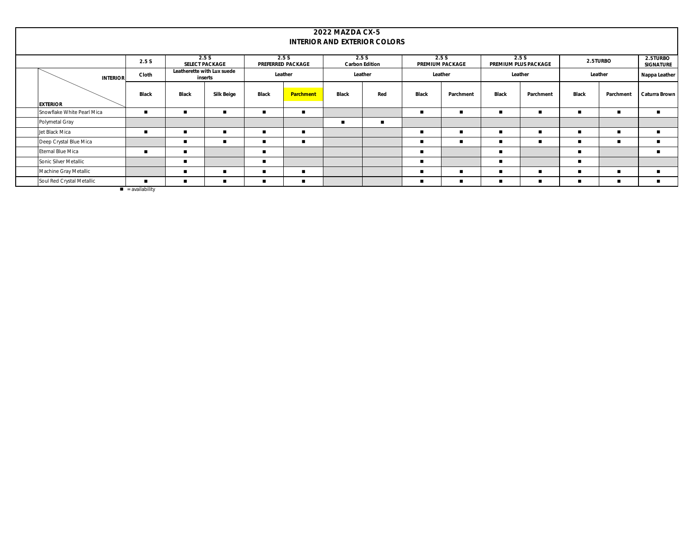|                            |                               |       |                                       |                |                   | 2022 MAZDA CX-5 | <b>INTERIOR AND EXTERIOR COLORS</b> |       |                 |       |                      |       |                |                |
|----------------------------|-------------------------------|-------|---------------------------------------|----------------|-------------------|-----------------|-------------------------------------|-------|-----------------|-------|----------------------|-------|----------------|----------------|
|                            |                               |       | 2.5S                                  |                | 2.5S              |                 | 2.5S                                |       | 2.5S            |       | 2.5S                 |       | 2.5TURBO       | 2.5TURBO       |
|                            | 2.5S                          |       | SELECT PACKAGE                        |                | PREFERRED PACKAGE |                 | Carbon Edition                      |       | PREMIUM PACKAGE |       | PREMIUM PLUS PACKAGE |       |                | SIGNATURE      |
| <b>INTERIOR</b>            | Cloth                         |       | Leatherette with Lux suede<br>inserts |                | Leather           |                 | Leather                             |       | Leather         |       | Leather              |       | Leather        | Nappa Leather  |
| <b>EXTERIOR</b>            | Black                         | Black | Silk Beige                            | Black          | Parchment         | Black           | Red                                 | Black | Parchment       | Black | Parchment            | Black | Parchment      | Caturra Brown  |
| Snowflake White Pearl Mica |                               | п     |                                       | $\blacksquare$ | $\blacksquare$    |                 |                                     | п     | $\blacksquare$  |       |                      |       | $\blacksquare$ | $\blacksquare$ |
| Polymetal Gray             |                               |       |                                       |                |                   | $\blacksquare$  | $\blacksquare$                      |       |                 |       |                      |       |                |                |
| let Black Mica             |                               | п     |                                       | п.             | $\blacksquare$    |                 |                                     | ш     |                 |       |                      |       |                | $\blacksquare$ |
| Deep Crystal Blue Mica     |                               | п     |                                       |                | $\blacksquare$    |                 |                                     |       | $\blacksquare$  |       |                      |       | $\blacksquare$ | $\blacksquare$ |
| Eternal Blue Mica          |                               | п     |                                       |                |                   |                 |                                     | п     |                 |       |                      |       |                |                |
| Sonic Silver Metallic      |                               | п     |                                       |                |                   |                 |                                     | ш     |                 |       |                      |       |                |                |
| Machine Gray Metallic      |                               | п     |                                       |                | $\blacksquare$    |                 |                                     |       |                 |       |                      |       |                | $\blacksquare$ |
| Soul Red Crystal Metallic  |                               | п     |                                       | $\blacksquare$ | $\blacksquare$    |                 |                                     |       | $\blacksquare$  |       | п                    |       | $\blacksquare$ | $\blacksquare$ |
|                            | $\blacksquare$ = availability |       |                                       |                |                   |                 |                                     |       |                 |       |                      |       |                |                |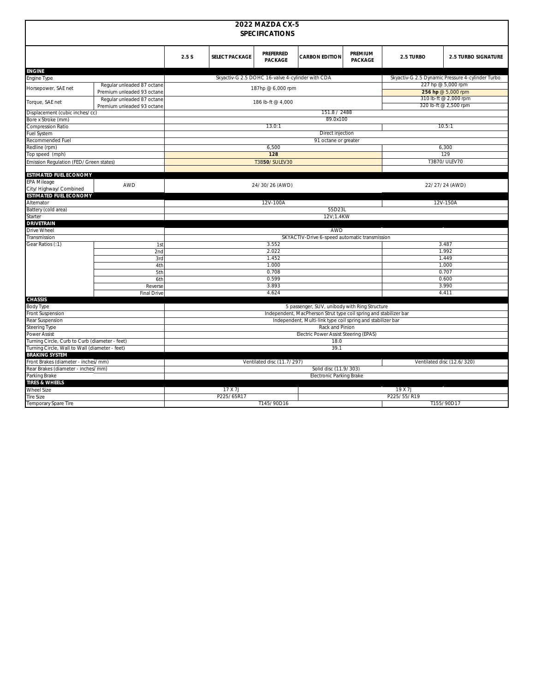|                                                |                                                          |                                 |                                                                     | 2022 MAZDA CX-5                                  |                                                                   |                    |                                          |                     |  |  |  |
|------------------------------------------------|----------------------------------------------------------|---------------------------------|---------------------------------------------------------------------|--------------------------------------------------|-------------------------------------------------------------------|--------------------|------------------------------------------|---------------------|--|--|--|
|                                                |                                                          |                                 |                                                                     | <b>SPECIFICATIONS</b>                            |                                                                   |                    |                                          |                     |  |  |  |
|                                                |                                                          |                                 |                                                                     |                                                  |                                                                   |                    |                                          |                     |  |  |  |
|                                                |                                                          | 2.5S                            | SELECT PACKAGE                                                      | PREFERRED<br>PACKAGE                             | <b>CARBON EDITION</b>                                             | PREMIUM<br>PACKAGE | 2.5 TURBO                                | 2.5 TURBO SIGNATURE |  |  |  |
| <b>ENGINE</b>                                  |                                                          |                                 |                                                                     |                                                  |                                                                   |                    |                                          |                     |  |  |  |
| Engine Type                                    |                                                          |                                 | Skyactiv-G 2.5 DOHC 16-valve 4-cylinder with CDA                    | Skyactiv-G 2.5 Dynamic Pressure 4-cylinder Turbo |                                                                   |                    |                                          |                     |  |  |  |
| Horsepower, SAE net                            | Regular unleaded 87 octane<br>Premium unleaded 93 octane |                                 |                                                                     | 187hp @ 6,000 rpm                                |                                                                   |                    | 227 hp @ 5,000 rpm<br>256 hp @ 5,000 rpm |                     |  |  |  |
| Torque, SAE net                                | Regular unleaded 87 octane<br>Premium unleaded 93 octane |                                 | 310 lb-ft @ 2,000 rpm<br>186 lb-ft @ 4,000<br>320 lb-ft @ 2,500 rpm |                                                  |                                                                   |                    |                                          |                     |  |  |  |
| Displacement (cubic inches/cc)                 |                                                          |                                 |                                                                     |                                                  | 151.8 / 2488                                                      |                    |                                          |                     |  |  |  |
| Bore x Stroke (mm)                             |                                                          |                                 |                                                                     |                                                  | 89.0x100                                                          |                    |                                          |                     |  |  |  |
| Compression Ratio                              |                                                          |                                 |                                                                     | 13.0:1                                           |                                                                   |                    |                                          | 10.5:1              |  |  |  |
| Fuel System                                    |                                                          |                                 |                                                                     |                                                  | Direct injection                                                  |                    |                                          |                     |  |  |  |
| Recommended Fuel                               |                                                          |                                 |                                                                     |                                                  | 91 octane or greater                                              |                    |                                          |                     |  |  |  |
| Redline (rpm)                                  |                                                          |                                 |                                                                     | 6.500                                            |                                                                   |                    |                                          | 6.300               |  |  |  |
| Top speed (mph)                                |                                                          |                                 |                                                                     | 128                                              |                                                                   |                    |                                          | 129                 |  |  |  |
| Emission Regulation (FED/Green states)         |                                                          |                                 |                                                                     | T3B50/SULEV30                                    |                                                                   |                    |                                          | T3B70/ULEV70        |  |  |  |
| ESTIMATED FUEL ECONOMY                         |                                                          |                                 |                                                                     |                                                  |                                                                   |                    |                                          |                     |  |  |  |
| EPA Mileage                                    |                                                          |                                 |                                                                     |                                                  |                                                                   |                    |                                          |                     |  |  |  |
| City/Highway/Combined                          | AWD                                                      |                                 |                                                                     | 24/30/26 (AWD)                                   |                                                                   |                    |                                          | 22/27/24 (AWD)      |  |  |  |
| ESTIMATED FUEL ECONOMY                         |                                                          |                                 |                                                                     |                                                  |                                                                   |                    |                                          |                     |  |  |  |
| Alternator                                     |                                                          |                                 |                                                                     | 12V-100A                                         |                                                                   |                    |                                          | 12V-150A            |  |  |  |
| Battery (cold area)                            |                                                          |                                 |                                                                     |                                                  | 55D23L                                                            |                    |                                          |                     |  |  |  |
| Starter                                        |                                                          |                                 |                                                                     |                                                  | 12V:1.4KW                                                         |                    |                                          |                     |  |  |  |
| DRIVETRAIN                                     |                                                          |                                 |                                                                     |                                                  |                                                                   |                    |                                          |                     |  |  |  |
| Drive Wheel                                    |                                                          |                                 |                                                                     |                                                  | AWD                                                               |                    |                                          |                     |  |  |  |
| Transmission                                   |                                                          |                                 |                                                                     | SKYACTIV-Drive 6-speed automatic transmission    |                                                                   |                    |                                          |                     |  |  |  |
| Gear Ratios (: 1)                              | 1st                                                      |                                 |                                                                     | 3.552                                            |                                                                   |                    | 3.487                                    |                     |  |  |  |
|                                                | 2 <sub>nd</sub>                                          |                                 |                                                                     | 2.022                                            |                                                                   |                    | 1.992                                    |                     |  |  |  |
|                                                | 3rd                                                      |                                 |                                                                     | 1.452<br>1.000                                   |                                                                   |                    | 1.449                                    |                     |  |  |  |
|                                                | 4th                                                      |                                 |                                                                     | 1.000                                            |                                                                   |                    |                                          |                     |  |  |  |
|                                                | 5th                                                      |                                 |                                                                     | 0.707                                            |                                                                   |                    |                                          |                     |  |  |  |
|                                                | 6th                                                      |                                 |                                                                     | 0.599                                            |                                                                   |                    |                                          | 0.600               |  |  |  |
|                                                | Reverse                                                  |                                 |                                                                     | 3.893                                            |                                                                   |                    |                                          | 3.990               |  |  |  |
|                                                | <b>Final Drive</b>                                       |                                 |                                                                     | 4.624                                            |                                                                   |                    |                                          | 4.411               |  |  |  |
| CHASSIS                                        |                                                          |                                 |                                                                     |                                                  | 5 passenger, SUV, unibody with Ring Structure                     |                    |                                          |                     |  |  |  |
| <b>Body Type</b>                               |                                                          |                                 |                                                                     |                                                  | Independent, MacPherson Strut type coil spring and stabilizer bar |                    |                                          |                     |  |  |  |
| Front Suspension<br>Rear Suspension            |                                                          |                                 |                                                                     |                                                  | Independent, Multi-link type coil spring and stabilizer bar       |                    |                                          |                     |  |  |  |
|                                                |                                                          |                                 |                                                                     |                                                  | Rack and Pinion                                                   |                    |                                          |                     |  |  |  |
| Steering Type<br>Power Assist                  |                                                          |                                 |                                                                     |                                                  | Electric Power Assist Steering (EPAS)                             |                    |                                          |                     |  |  |  |
| Turning Circle, Curb to Curb (diameter - feet) |                                                          |                                 |                                                                     |                                                  | 18.0                                                              |                    |                                          |                     |  |  |  |
| Turning Circle, Wall to Wall (diameter - feet) |                                                          |                                 |                                                                     |                                                  | 39.1                                                              |                    |                                          |                     |  |  |  |
| <b>BRAKING SYSTEM</b>                          |                                                          |                                 |                                                                     |                                                  |                                                                   |                    |                                          |                     |  |  |  |
| Front Brakes (diameter - inches/mm)            |                                                          |                                 |                                                                     | Ventilated disc (11.7/297)                       |                                                                   |                    |                                          |                     |  |  |  |
| Rear Brakes (diameter - inches/mm)             | Ventilated disc (12.6/320)<br>Solid disc (11.9/303)      |                                 |                                                                     |                                                  |                                                                   |                    |                                          |                     |  |  |  |
| Parking Brake                                  |                                                          | <b>Electronic Parking Brake</b> |                                                                     |                                                  |                                                                   |                    |                                          |                     |  |  |  |
| TIRES & WHEELS                                 |                                                          |                                 |                                                                     |                                                  |                                                                   |                    |                                          |                     |  |  |  |
| Wheel Size                                     |                                                          |                                 | 17XJJ                                                               |                                                  |                                                                   |                    | 19 X 7J                                  |                     |  |  |  |
| Tire Size                                      |                                                          |                                 | P225/65R17                                                          |                                                  |                                                                   |                    | P225/55/R19                              |                     |  |  |  |
| Temporary Spare Tire                           |                                                          |                                 |                                                                     |                                                  | T155/90D17                                                        |                    |                                          |                     |  |  |  |